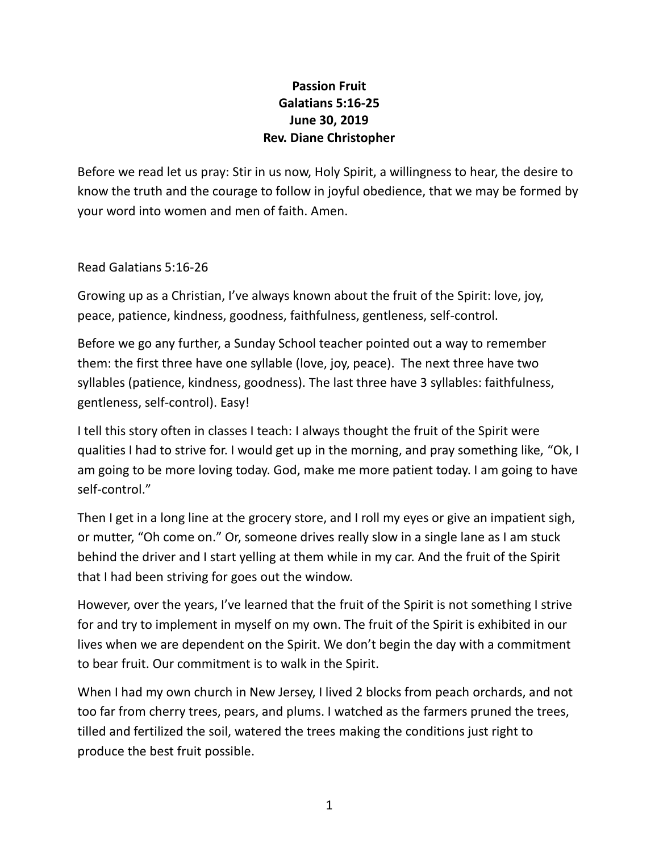## **Passion Fruit Galatians 5:16-25 June 30, 2019 Rev. Diane Christopher**

Before we read let us pray: Stir in us now, Holy Spirit, a willingness to hear, the desire to know the truth and the courage to follow in joyful obedience, that we may be formed by your word into women and men of faith. Amen.

Read Galatians 5:16-26

Growing up as a Christian, I've always known about the fruit of the Spirit: love, joy, peace, patience, kindness, goodness, faithfulness, gentleness, self-control.

Before we go any further, a Sunday School teacher pointed out a way to remember them: the first three have one syllable (love, joy, peace). The next three have two syllables (patience, kindness, goodness). The last three have 3 syllables: faithfulness, gentleness, self-control). Easy!

I tell this story often in classes I teach: I always thought the fruit of the Spirit were qualities I had to strive for. I would get up in the morning, and pray something like, "Ok, I am going to be more loving today. God, make me more patient today. I am going to have self-control."

Then I get in a long line at the grocery store, and I roll my eyes or give an impatient sigh, or mutter, "Oh come on." Or, someone drives really slow in a single lane as I am stuck behind the driver and I start yelling at them while in my car. And the fruit of the Spirit that I had been striving for goes out the window.

However, over the years, I've learned that the fruit of the Spirit is not something I strive for and try to implement in myself on my own. The fruit of the Spirit is exhibited in our lives when we are dependent on the Spirit. We don't begin the day with a commitment to bear fruit. Our commitment is to walk in the Spirit.

When I had my own church in New Jersey, I lived 2 blocks from peach orchards, and not too far from cherry trees, pears, and plums. I watched as the farmers pruned the trees, tilled and fertilized the soil, watered the trees making the conditions just right to produce the best fruit possible.

1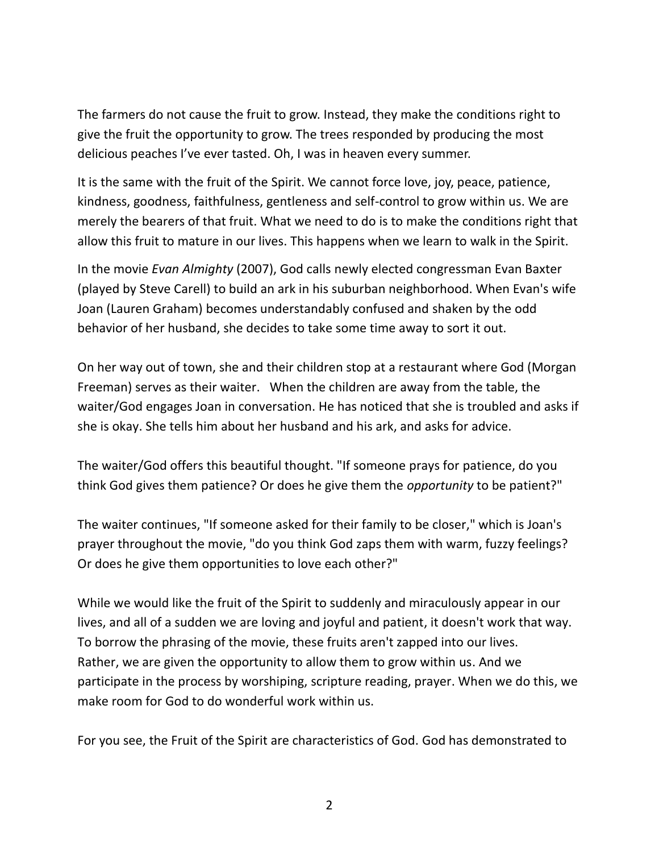The farmers do not cause the fruit to grow. Instead, they make the conditions right to give the fruit the opportunity to grow. The trees responded by producing the most delicious peaches I've ever tasted. Oh, I was in heaven every summer.

It is the same with the fruit of the Spirit. We cannot force love, joy, peace, patience, kindness, goodness, faithfulness, gentleness and self-control to grow within us. We are merely the bearers of that fruit. What we need to do is to make the conditions right that allow this fruit to mature in our lives. This happens when we learn to walk in the Spirit.

In the movie *Evan Almighty* (2007), God calls newly elected congressman Evan Baxter (played by Steve Carell) to build an ark in his suburban neighborhood. When Evan's wife Joan (Lauren Graham) becomes understandably confused and shaken by the odd behavior of her husband, she decides to take some time away to sort it out.

On her way out of town, she and their children stop at a restaurant where God (Morgan Freeman) serves as their waiter. When the children are away from the table, the waiter/God engages Joan in conversation. He has noticed that she is troubled and asks if she is okay. She tells him about her husband and his ark, and asks for advice.

The waiter/God offers this beautiful thought. "If someone prays for patience, do you think God gives them patience? Or does he give them the *opportunity* to be patient?"

The waiter continues, "If someone asked for their family to be closer," which is Joan's prayer throughout the movie, "do you think God zaps them with warm, fuzzy feelings? Or does he give them opportunities to love each other?"

While we would like the fruit of the Spirit to suddenly and miraculously appear in our lives, and all of a sudden we are loving and joyful and patient, it doesn't work that way. To borrow the phrasing of the movie, these fruits aren't zapped into our lives. Rather, we are given the opportunity to allow them to grow within us. And we participate in the process by worshiping, scripture reading, prayer. When we do this, we make room for God to do wonderful work within us.

For you see, the Fruit of the Spirit are characteristics of God. God has demonstrated to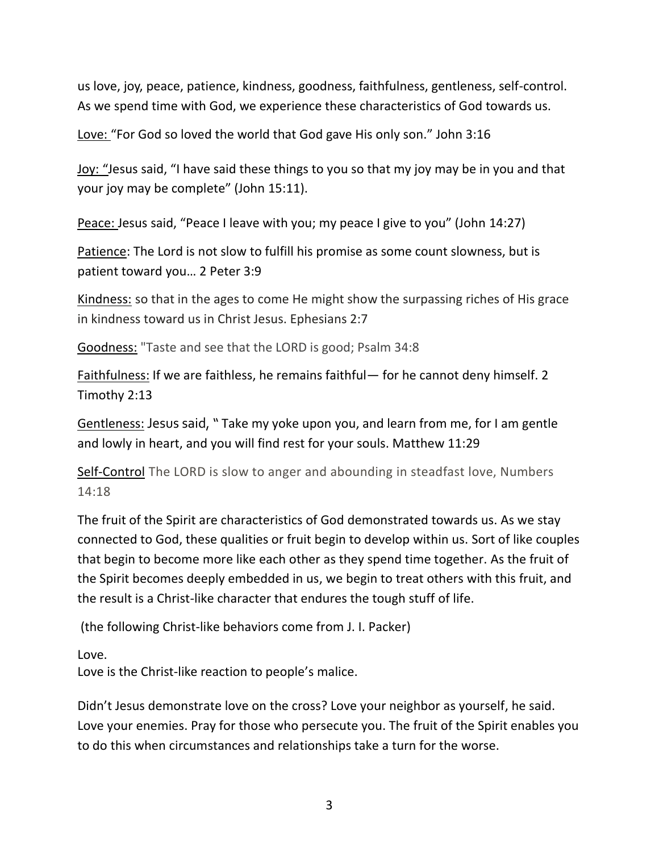us love, joy, peace, patience, kindness, goodness, faithfulness, gentleness, self-control. As we spend time with God, we experience these characteristics of God towards us.

Love: "For God so loved the world that God gave His only son." John 3:16

Joy: "Jesus said, "I have said these things to you so that my joy may be in you and that your joy may be complete" (John 15:11).

Peace: Jesus said, "Peace I leave with you; my peace I give to you" (John 14:27)

Patience: The Lord is not slow to fulfill his promise as some count slowness, but is patient toward you… 2 Peter 3:9

Kindness: so that in the ages to come He might show the surpassing riches of His grace in kindness toward us in Christ Jesus. Ephesians 2:7

Goodness: "Taste and see that the LORD is good; Psalm 34:8

Faithfulness: If we are faithless, he remains faithful— for he cannot deny himself. 2 Timothy 2:13

Gentleness: Jesus said, " Take my yoke upon you, and learn from me, for I am gentle and lowly in heart, and you will find rest for your souls. Matthew 11:29

Self-Control The LORD is slow to anger and abounding in steadfast love, Numbers 14:18

The fruit of the Spirit are characteristics of God demonstrated towards us. As we stay connected to God, these qualities or fruit begin to develop within us. Sort of like couples that begin to become more like each other as they spend time together. As the fruit of the Spirit becomes deeply embedded in us, we begin to treat others with this fruit, and the result is a Christ-like character that endures the tough stuff of life.

(the following Christ-like behaviors come from J. I. Packer)

Love.

Love is the Christ-like reaction to people's malice.

Didn't Jesus demonstrate love on the cross? Love your neighbor as yourself, he said. Love your enemies. Pray for those who persecute you. The fruit of the Spirit enables you to do this when circumstances and relationships take a turn for the worse.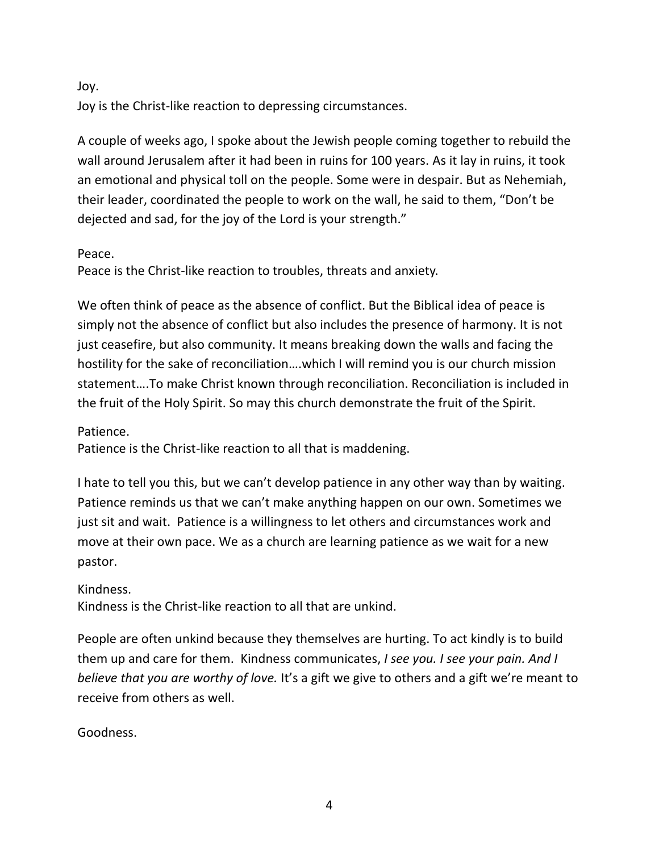Joy.

Joy is the Christ-like reaction to depressing circumstances.

A couple of weeks ago, I spoke about the Jewish people coming together to rebuild the wall around Jerusalem after it had been in ruins for 100 years. As it lay in ruins, it took an emotional and physical toll on the people. Some were in despair. But as Nehemiah, their leader, coordinated the people to work on the wall, he said to them, "Don't be dejected and sad, for the joy of the Lord is your strength."

Peace.

Peace is the Christ-like reaction to troubles, threats and anxiety.

We often think of peace as the absence of conflict. But the Biblical idea of peace is simply not the absence of conflict but also includes the presence of harmony. It is not just ceasefire, but also community. It means breaking down the walls and facing the hostility for the sake of reconciliation….which I will remind you is our church mission statement….To make Christ known through reconciliation. Reconciliation is included in the fruit of the Holy Spirit. So may this church demonstrate the fruit of the Spirit.

Patience.

Patience is the Christ-like reaction to all that is maddening.

I hate to tell you this, but we can't develop patience in any other way than by waiting. Patience reminds us that we can't make anything happen on our own. Sometimes we just sit and wait. Patience is a willingness to let others and circumstances work and move at their own pace. We as a church are learning patience as we wait for a new pastor.

Kindness.

Kindness is the Christ-like reaction to all that are unkind.

People are often unkind because they themselves are hurting. To act kindly is to build them up and care for them. Kindness communicates, *I see you. I see your pain. And I believe that you are worthy of love.* It's a gift we give to others and a gift we're meant to receive from others as well.

Goodness.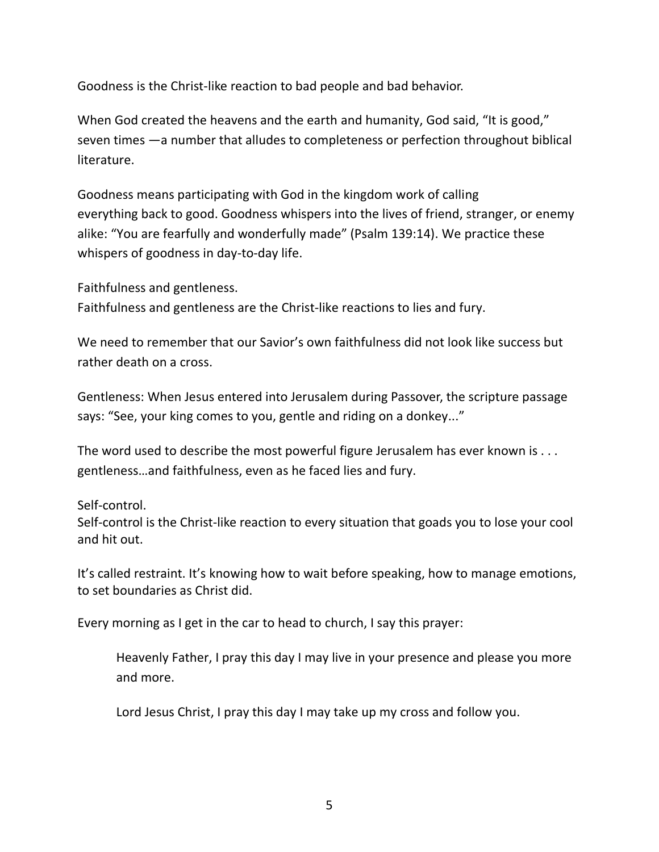Goodness is the Christ-like reaction to bad people and bad behavior.

When God created the heavens and the earth and humanity, God said, "It is good," seven times —a number that alludes to completeness or perfection throughout biblical literature.

Goodness means participating with God in the kingdom work of calling everything back to good. Goodness whispers into the lives of friend, stranger, or enemy alike: "You are fearfully and wonderfully made" (Psalm 139:14). We practice these whispers of goodness in day-to-day life.

Faithfulness and gentleness.

Faithfulness and gentleness are the Christ-like reactions to lies and fury.

We need to remember that our Savior's own faithfulness did not look like success but rather death on a cross.

Gentleness: When Jesus entered into Jerusalem during Passover, the scripture passage says: "See, your king comes to you, gentle and riding on a donkey..."

The word used to describe the most powerful figure Jerusalem has ever known is . . . gentleness…and faithfulness, even as he faced lies and fury.

Self-control.

Self-control is the Christ-like reaction to every situation that goads you to lose your cool and hit out.

It's called restraint. It's knowing how to wait before speaking, how to manage emotions, to set boundaries as Christ did.

Every morning as I get in the car to head to church, I say this prayer:

Heavenly Father, I pray this day I may live in your presence and please you more and more.

Lord Jesus Christ, I pray this day I may take up my cross and follow you.